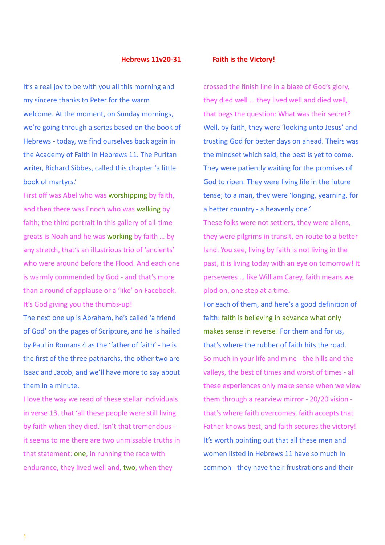It's a real joy to be with you all this morning and my sincere thanks to Peter for the warm welcome. At the moment, on Sunday mornings, we're going through a series based on the book of Hebrews - today, we find ourselves back again in the Academy of Faith in Hebrews 11. The Puritan writer, Richard Sibbes, called this chapter 'a little book of martyrs.'

First off was Abel who was worshipping by faith, and then there was Enoch who was walking by faith; the third portrait in this gallery of all-time greats is Noah and he was working by faith ... by any stretch, that's an illustrious trio of 'ancients' who were around before the Flood. And each one is warmly commended by God - and that's more than a round of applause or a 'like' on Facebook. It's God giving you the thumbs-up!

The next one up is Abraham, he's called 'a friend of God' on the pages of Scripture, and he is hailed by Paul in Romans 4 as the 'father of faith' - he is the first of the three patriarchs, the other two are Isaac and Jacob, and we'll have more to say about them in a minute.

I love the way we read of these stellar individuals in verse 13, that 'all these people were still living by faith when they died.' Isn't that tremendous it seems to me there are two unmissable truths in that statement: one, in running the race with endurance, they lived well and, two, when they

## Hebrews 11v20-31 **Faith is the Victory!**

crossed the finish line in a blaze of God's glory, they died well ... they lived well and died well, that begs the question: What was their secret? Well, by faith, they were 'looking unto Jesus' and trusting God for better days on ahead. Theirs was the mindset which said, the best is yet to come. They were patiently waiting for the promises of God to ripen. They were living life in the future tense; to a man, they were 'longing, yearning, for a better country - a heavenly one.'

These folks were not settlers, they were aliens, they were pilgrims in transit, en-route to a better land. You see, living by faith is not living in the past, it is living today with an eye on tomorrow! It perseveres ... like William Carey, faith means we plod on, one step at a time.

For each of them, and here's a good definition of faith: faith is believing in advance what only makes sense in reverse! For them and for us, that's where the rubber of faith hits the road. So much in your life and mine - the hills and the valleys, the best of times and worst of times - all these experiences only make sense when we view them through a rearview mirror  $-20/20$  vision  $$ that's where faith overcomes, faith accepts that Father knows best, and faith secures the victory! It's worth pointing out that all these men and women listed in Hebrews 11 have so much in common - they have their frustrations and their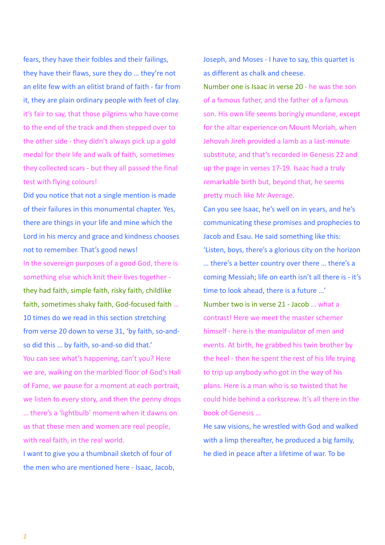fears, they have their foibles and their failings, they have their flaws, sure they do ... they're not an elite few with an elitist brand of faith - far from it, they are plain ordinary people with feet of clay. it's fair to say, that those pilgrims who have come to the end of the track and then stepped over to the other side - they didn't always pick up a gold medal for their life and walk of faith, sometimes they collected scars - but they all passed the final test with flying colours!

Did you notice that not a single mention is made of their failures in this monumental chapter. Yes, there are things in your life and mine which the Lord in his mercy and grace and kindness chooses not to remember. That's good news! In the sovereign purposes of a good God, there is something else which knit their lives together they had faith, simple faith, risky faith, childlike faith, sometimes shaky faith, God-focused faith ... 10 times do we read in this section stretching from verse 20 down to verse 31, 'by faith, so-andso did this ... by faith, so-and-so did that.' You can see what's happening, can't you? Here we are, walking on the marbled floor of God's Hall of Fame, we pause for a moment at each portrait, we listen to every story, and then the penny drops ... there's a 'lightbulb' moment when it dawns on us that these men and women are real people, with real faith, in the real world.

I want to give you a thumbnail sketch of four of the men who are mentioned here - Isaac, Jacob, Joseph, and Moses - I have to say, this quartet is as different as chalk and cheese.

Number one is Isaac in verse 20 - he was the son of a famous father, and the father of a famous son. His own life seems boringly mundane, except for the altar experience on Mount Moriah, when Jehovah Jireh provided a lamb as a last-minute substitute, and that's recorded in Genesis 22 and up the page in verses 17-19. Isaac had a truly remarkable birth but, beyond that, he seems pretty much like Mr Average.

Can you see Isaac, he's well on in years, and he's communicating these promises and prophecies to Jacob and Esau. He said something like this: 'Listen, boys, there's a glorious city on the horizon ... there's a better country over there ... there's a coming Messiah; life on earth isn't all there is - it's time to look ahead, there is a future ...' Number two is in verse 21 - Jacob ... what a contrast! Here we meet the master schemer himself - here is the manipulator of men and events. At birth, he grabbed his twin brother by the heel - then he spent the rest of his life trying to trip up anybody who got in the way of his plans. Here is a man who is so twisted that he could hide behind a corkscrew. It's all there in the book of Genesis ...

He saw visions, he wrestled with God and walked with a limp thereafter, he produced a big family, he died in peace after a lifetime of war. To be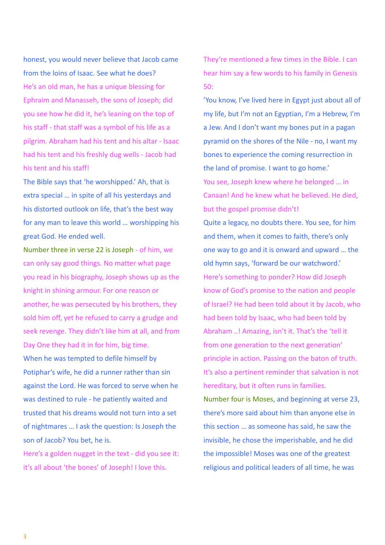honest, you would never believe that Jacob came from the loins of Isaac. See what he does? He's an old man, he has a unique blessing for Ephraim and Manasseh, the sons of Joseph; did you see how he did it, he's leaning on the top of his staff - that staff was a symbol of his life as a pilgrim. Abraham had his tent and his altar - Isaac had his tent and his freshly dug wells - Jacob had his tent and his staff!

The Bible says that 'he worshipped.' Ah, that is extra special ... in spite of all his yesterdays and his distorted outlook on life, that's the best way for any man to leave this world ... worshipping his great God. He ended well.

Number three in verse 22 is Joseph - of him, we can only say good things. No matter what page you read in his biography, Joseph shows up as the knight in shining armour. For one reason or another, he was persecuted by his brothers, they sold him off, yet he refused to carry a grudge and seek revenge. They didn't like him at all, and from Day One they had it in for him, big time. When he was tempted to defile himself by Potiphar's wife, he did a runner rather than sin against the Lord. He was forced to serve when he was destined to rule - he patiently waited and trusted that his dreams would not turn into a set of nightmares ... I ask the question: Is Joseph the son of Jacob? You bet, he is.

Here's a golden nugget in the text - did you see it: it's all about 'the bones' of Joseph! I love this.

They're mentioned a few times in the Bible. I can hear him say a few words to his family in Genesis 50: 

'You know, I've lived here in Egypt just about all of my life, but I'm not an Egyptian, I'm a Hebrew, I'm a Jew. And I don't want my bones put in a pagan pyramid on the shores of the Nile - no, I want my bones to experience the coming resurrection in the land of promise. I want to go home.' You see, Joseph knew where he belonged ... in Canaan! And he knew what he believed. He died, but the gospel promise didn't!

Quite a legacy, no doubts there. You see, for him and them, when it comes to faith, there's only one way to go and it is onward and upward ... the old hymn says, 'forward be our watchword.' Here's something to ponder? How did Joseph know of God's promise to the nation and people of Israel? He had been told about it by Jacob, who had been told by Isaac, who had been told by Abraham ..! Amazing, isn't it. That's the 'tell it from one generation to the next generation' principle in action. Passing on the baton of truth. It's also a pertinent reminder that salvation is not hereditary, but it often runs in families.

Number four is Moses, and beginning at verse 23, there's more said about him than anyone else in this section ... as someone has said, he saw the invisible, he chose the imperishable, and he did the impossible! Moses was one of the greatest religious and political leaders of all time, he was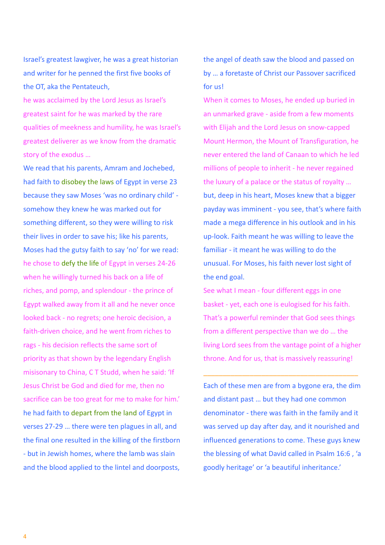Israel's greatest lawgiver, he was a great historian and writer for he penned the first five books of the OT, aka the Pentateuch,

he was acclaimed by the Lord Jesus as Israel's greatest saint for he was marked by the rare qualities of meekness and humility, he was Israel's greatest deliverer as we know from the dramatic story of the exodus ...

We read that his parents, Amram and Jochebed, had faith to disobey the laws of Egypt in verse 23 because they saw Moses 'was no ordinary child' somehow they knew he was marked out for something different, so they were willing to risk their lives in order to save his; like his parents, Moses had the gutsy faith to say 'no' for we read: he chose to defy the life of Egypt in verses 24-26 when he willingly turned his back on a life of riches, and pomp, and splendour - the prince of Egypt walked away from it all and he never once looked back - no regrets; one heroic decision, a faith-driven choice, and he went from riches to rags - his decision reflects the same sort of priority as that shown by the legendary English misisonary to China, C T Studd, when he said: 'If Jesus Christ be God and died for me, then no sacrifice can be too great for me to make for him.' he had faith to depart from the land of Egypt in verses 27-29 ... there were ten plagues in all, and the final one resulted in the killing of the firstborn - but in Jewish homes, where the lamb was slain and the blood applied to the lintel and doorposts,

the angel of death saw the blood and passed on by ... a foretaste of Christ our Passover sacrificed for us!

When it comes to Moses, he ended up buried in an unmarked grave - aside from a few moments with Elijah and the Lord Jesus on snow-capped Mount Hermon, the Mount of Transfiguration, he never entered the land of Canaan to which he led millions of people to inherit - he never regained the luxury of a palace or the status of royalty ... but, deep in his heart, Moses knew that a bigger payday was imminent - you see, that's where faith made a mega difference in his outlook and in his up-look. Faith meant he was willing to leave the familiar - it meant he was willing to do the unusual. For Moses, his faith never lost sight of the end goal.

See what I mean - four different eggs in one basket - yet, each one is eulogised for his faith. That's a powerful reminder that God sees things from a different perspective than we do ... the living Lord sees from the vantage point of a higher throne. And for us, that is massively reassuring!

\_\_\_\_\_\_\_\_\_\_\_\_\_\_\_\_\_\_\_\_\_\_\_\_\_\_\_\_\_\_\_\_\_\_\_\_\_\_\_\_

Each of these men are from a bygone era, the dim and distant past ... but they had one common denominator - there was faith in the family and it was served up day after day, and it nourished and influenced generations to come. These guys knew the blessing of what David called in Psalm 16:6, 'a goodly heritage' or 'a beautiful inheritance.'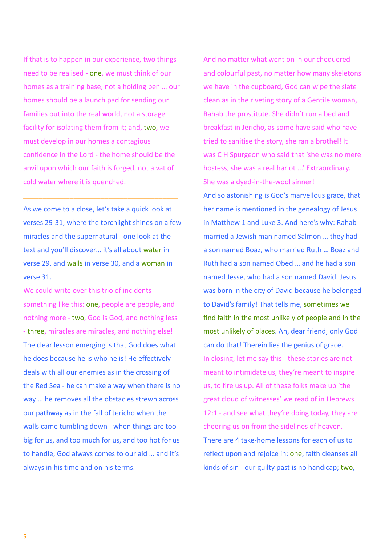If that is to happen in our experience, two things need to be realised - one, we must think of our homes as a training base, not a holding pen ... our homes should be a launch pad for sending our families out into the real world, not a storage facility for isolating them from it; and, two, we must develop in our homes a contagious confidence in the Lord - the home should be the anvil upon which our faith is forged, not a vat of cold water where it is quenched.

As we come to a close, let's take a quick look at verses 29-31, where the torchlight shines on a few miracles and the supernatural - one look at the text and you'll discover... it's all about water in verse 29, and walls in verse 30, and a woman in verse 31.

\_\_\_\_\_\_\_\_\_\_\_\_\_\_\_\_\_\_\_\_\_\_\_\_\_\_\_\_\_\_\_\_\_\_\_\_\_\_\_\_

We could write over this trio of incidents something like this: one, people are people, and nothing more - two, God is God, and nothing less - three, miracles are miracles, and nothing else! The clear lesson emerging is that God does what he does because he is who he is! He effectively deals with all our enemies as in the crossing of the Red Sea - he can make a way when there is no way ... he removes all the obstacles strewn across our pathway as in the fall of Jericho when the walls came tumbling down - when things are too big for us, and too much for us, and too hot for us to handle, God always comes to our aid ... and it's always in his time and on his terms.

And no matter what went on in our chequered and colourful past, no matter how many skeletons we have in the cupboard, God can wipe the slate clean as in the riveting story of a Gentile woman, Rahab the prostitute. She didn't run a bed and breakfast in Jericho, as some have said who have tried to sanitise the story, she ran a brothel! It was C H Spurgeon who said that 'she was no mere hostess, she was a real harlot ...' Extraordinary. She was a dyed-in-the-wool sinner! And so astonishing is God's marvellous grace, that her name is mentioned in the genealogy of Jesus in Matthew 1 and Luke 3. And here's why: Rahab married a Jewish man named Salmon ... they had a son named Boaz, who married Ruth ... Boaz and Ruth had a son named Obed ... and he had a son named Jesse, who had a son named David. Jesus was born in the city of David because he belonged to David's family! That tells me, sometimes we find faith in the most unlikely of people and in the most unlikely of places. Ah, dear friend, only God can do that! Therein lies the genius of grace. In closing, let me say this - these stories are not meant to intimidate us, they're meant to inspire us, to fire us up. All of these folks make up 'the great cloud of witnesses' we read of in Hebrews 12:1 - and see what they're doing today, they are cheering us on from the sidelines of heaven. There are 4 take-home lessons for each of us to reflect upon and rejoice in: one, faith cleanses all kinds of sin - our guilty past is no handicap; two,